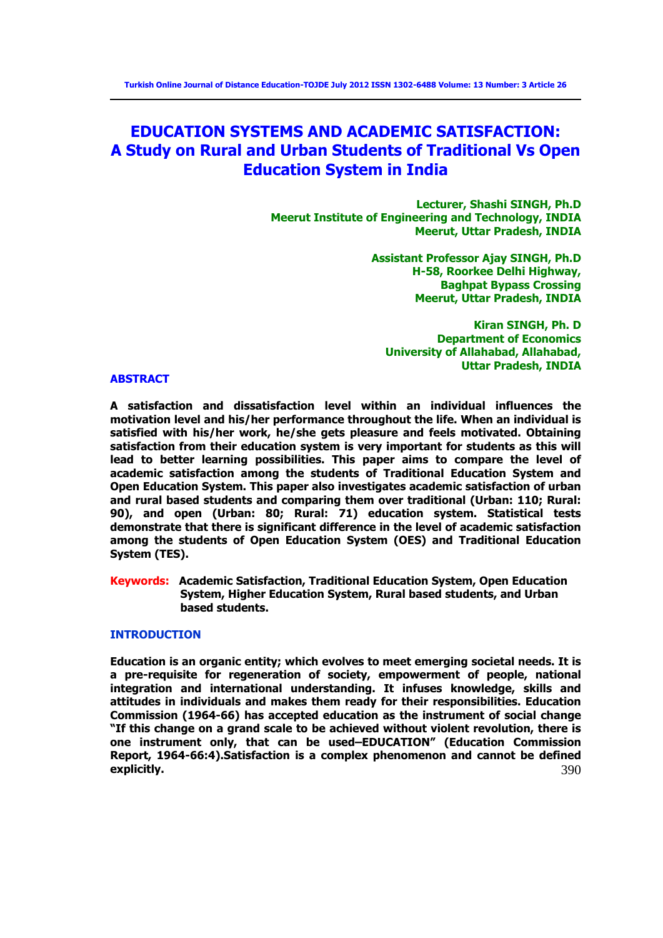# **EDUCATION SYSTEMS AND ACADEMIC SATISFACTION: A Study on Rural and Urban Students of Traditional Vs Open Education System in India**

**Lecturer, Shashi SINGH, Ph.D Meerut Institute of Engineering and Technology, INDIA Meerut, Uttar Pradesh, INDIA** 

> **Assistant Professor Ajay SINGH, Ph.D H-58, Roorkee Delhi Highway, Baghpat Bypass Crossing Meerut, Uttar Pradesh, INDIA**

**Kiran SINGH, Ph. D Department of Economics University of Allahabad, Allahabad, Uttar Pradesh, INDIA** 

### **ABSTRACT**

**A satisfaction and dissatisfaction level within an individual influences the motivation level and his/her performance throughout the life. When an individual is satisfied with his/her work, he/she gets pleasure and feels motivated. Obtaining satisfaction from their education system is very important for students as this will lead to better learning possibilities. This paper aims to compare the level of academic satisfaction among the students of Traditional Education System and Open Education System. This paper also investigates academic satisfaction of urban and rural based students and comparing them over traditional (Urban: 110; Rural: 90), and open (Urban: 80; Rural: 71) education system. Statistical tests demonstrate that there is significant difference in the level of academic satisfaction among the students of Open Education System (OES) and Traditional Education System (TES).** 

**Keywords: Academic Satisfaction, Traditional Education System, Open Education System, Higher Education System, Rural based students, and Urban based students.** 

### **INTRODUCTION**

390 **Education is an organic entity; which evolves to meet emerging societal needs. It is a pre-requisite for regeneration of society, empowerment of people, national integration and international understanding. It infuses knowledge, skills and attitudes in individuals and makes them ready for their responsibilities. Education Commission (1964-66) has accepted education as the instrument of social change "If this change on a grand scale to be achieved without violent revolution, there is one instrument only, that can be used–EDUCATION" (Education Commission Report, 1964-66:4).Satisfaction is a complex phenomenon and cannot be defined explicitly.**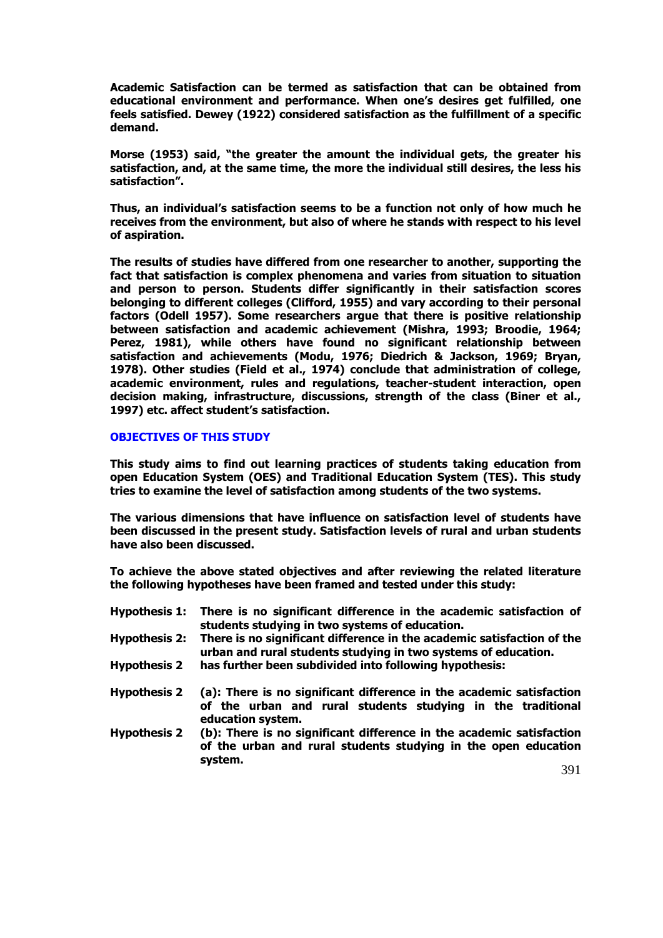**Academic Satisfaction can be termed as satisfaction that can be obtained from educational environment and performance. When one's desires get fulfilled, one feels satisfied. Dewey (1922) considered satisfaction as the fulfillment of a specific demand.** 

**Morse (1953) said, "the greater the amount the individual gets, the greater his satisfaction, and, at the same time, the more the individual still desires, the less his satisfaction".** 

**Thus, an individual's satisfaction seems to be a function not only of how much he receives from the environment, but also of where he stands with respect to his level of aspiration.** 

**The results of studies have differed from one researcher to another, supporting the fact that satisfaction is complex phenomena and varies from situation to situation and person to person. Students differ significantly in their satisfaction scores belonging to different colleges (Clifford, 1955) and vary according to their personal factors (Odell 1957). Some researchers argue that there is positive relationship between satisfaction and academic achievement (Mishra, 1993; Broodie, 1964; Perez, 1981), while others have found no significant relationship between satisfaction and achievements (Modu, 1976; Diedrich & Jackson, 1969; Bryan, 1978). Other studies (Field et al., 1974) conclude that administration of college, academic environment, rules and regulations, teacher-student interaction, open decision making, infrastructure, discussions, strength of the class (Biner et al., 1997) etc. affect student's satisfaction.** 

# **OBJECTIVES OF THIS STUDY**

**This study aims to find out learning practices of students taking education from open Education System (OES) and Traditional Education System (TES). This study tries to examine the level of satisfaction among students of the two systems.** 

**The various dimensions that have influence on satisfaction level of students have been discussed in the present study. Satisfaction levels of rural and urban students have also been discussed.** 

**To achieve the above stated objectives and after reviewing the related literature the following hypotheses have been framed and tested under this study:** 

**Hypothesis 1: There is no significant difference in the academic satisfaction of students studying in two systems of education. Hypothesis 2: There is no significant difference in the academic satisfaction of the urban and rural students studying in two systems of education. Hypothesis 2 has further been subdivided into following hypothesis: Hypothesis 2 (a): There is no significant difference in the academic satisfaction of the urban and rural students studying in the traditional education system. Hypothesis 2 (b): There is no significant difference in the academic satisfaction of the urban and rural students studying in the open education system.** 

391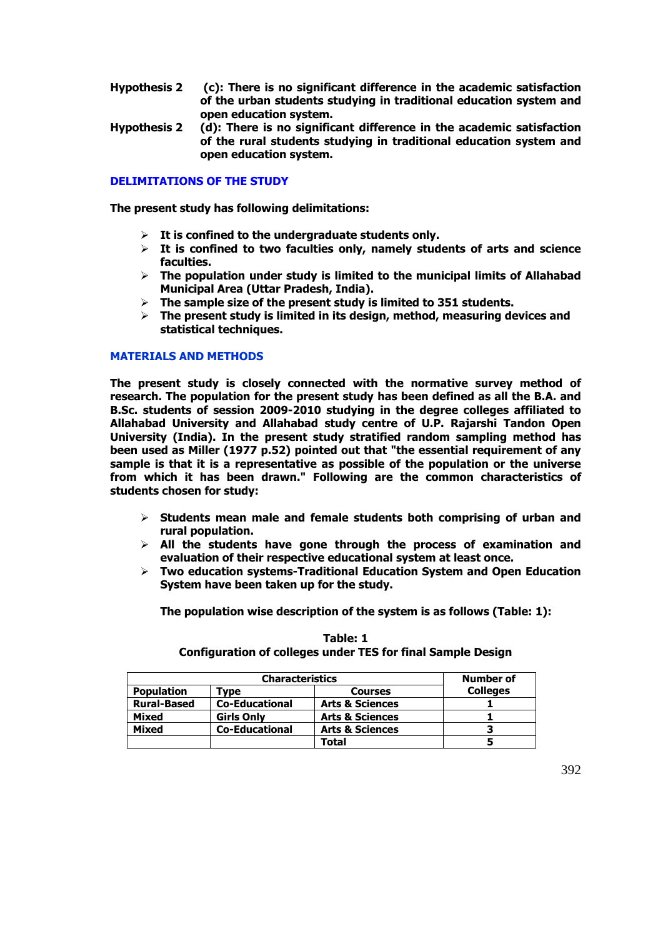- **Hypothesis 2 (c): There is no significant difference in the academic satisfaction of the urban students studying in traditional education system and open education system.**
- **Hypothesis 2 (d): There is no significant difference in the academic satisfaction of the rural students studying in traditional education system and open education system.**

# **DELIMITATIONS OF THE STUDY**

**The present study has following delimitations:** 

- **It is confined to the undergraduate students only.**
- **It is confined to two faculties only, namely students of arts and science faculties.**
- **The population under study is limited to the municipal limits of Allahabad Municipal Area (Uttar Pradesh, India).**
- **The sample size of the present study is limited to 351 students.**
- **The present study is limited in its design, method, measuring devices and statistical techniques.**

### **MATERIALS AND METHODS**

**The present study is closely connected with the normative survey method of research. The population for the present study has been defined as all the B.A. and B.Sc. students of session 2009-2010 studying in the degree colleges affiliated to Allahabad University and Allahabad study centre of U.P. Rajarshi Tandon Open University (India). In the present study stratified random sampling method has been used as Miller (1977 p.52) pointed out that "the essential requirement of any sample is that it is a representative as possible of the population or the universe from which it has been drawn." Following are the common characteristics of students chosen for study:** 

- **Students mean male and female students both comprising of urban and rural population.**
- **All the students have gone through the process of examination and evaluation of their respective educational system at least once.**
- **Two education systems-Traditional Education System and Open Education System have been taken up for the study.**

**The population wise description of the system is as follows (Table: 1):** 

|                    | <b>Number of</b>      |                            |                 |
|--------------------|-----------------------|----------------------------|-----------------|
| <b>Population</b>  | <b>Tvpe</b>           | <b>Courses</b>             | <b>Colleges</b> |
| <b>Rural-Based</b> | <b>Co-Educational</b> | <b>Arts &amp; Sciences</b> |                 |
| Mixed              | <b>Girls Only</b>     | <b>Arts &amp; Sciences</b> |                 |
| Mixed              | <b>Co-Educational</b> | <b>Arts &amp; Sciences</b> |                 |
|                    |                       | Total                      |                 |

### **Table: 1 Configuration of colleges under TES for final Sample Design**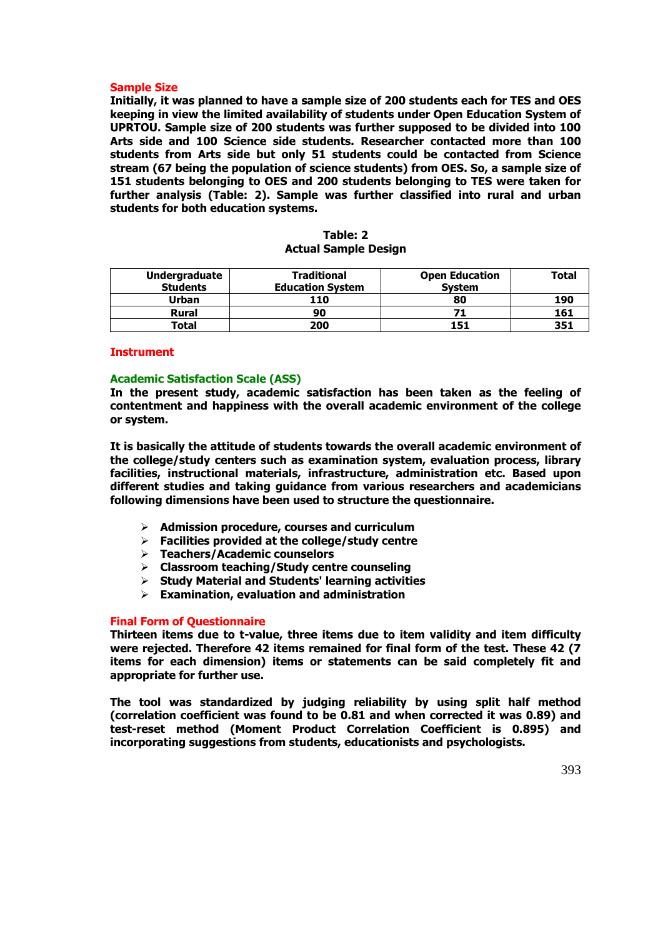### **Sample Size**

**Initially, it was planned to have a sample size of 200 students each for TES and OES keeping in view the limited availability of students under Open Education System of UPRTOU. Sample size of 200 students was further supposed to be divided into 100 Arts side and 100 Science side students. Researcher contacted more than 100 students from Arts side but only 51 students could be contacted from Science stream (67 being the population of science students) from OES. So, a sample size of 151 students belonging to OES and 200 students belonging to TES were taken for further analysis (Table: 2). Sample was further classified into rural and urban students for both education systems.** 

| Table: 2                    |
|-----------------------------|
| <b>Actual Sample Design</b> |

| <b>Undergraduate</b> | <b>Traditional</b>      | <b>Open Education</b> | <b>Total</b> |
|----------------------|-------------------------|-----------------------|--------------|
| <b>Students</b>      | <b>Education System</b> | <b>System</b>         |              |
| Urban                | 110                     | 80                    | 190          |
| <b>Rural</b>         | 90                      |                       | 161          |
| Total                | 200                     | 151                   | 351          |

#### **Instrument**

#### **Academic Satisfaction Scale (ASS)**

**In the present study, academic satisfaction has been taken as the feeling of contentment and happiness with the overall academic environment of the college or system.** 

**It is basically the attitude of students towards the overall academic environment of the college/study centers such as examination system, evaluation process, library facilities, instructional materials, infrastructure, administration etc. Based upon different studies and taking guidance from various researchers and academicians following dimensions have been used to structure the questionnaire.** 

- **Admission procedure, courses and curriculum**
- **Facilities provided at the college/study centre**
- **Teachers/Academic counselors**
- **Classroom teaching/Study centre counseling**
- **Study Material and Students' learning activities**
- **Examination, evaluation and administration**

#### **Final Form of Questionnaire**

**Thirteen items due to t-value, three items due to item validity and item difficulty were rejected. Therefore 42 items remained for final form of the test. These 42 (7 items for each dimension) items or statements can be said completely fit and appropriate for further use.** 

**The tool was standardized by judging reliability by using split half method (correlation coefficient was found to be 0.81 and when corrected it was 0.89) and test-reset method (Moment Product Correlation Coefficient is 0.895) and incorporating suggestions from students, educationists and psychologists.**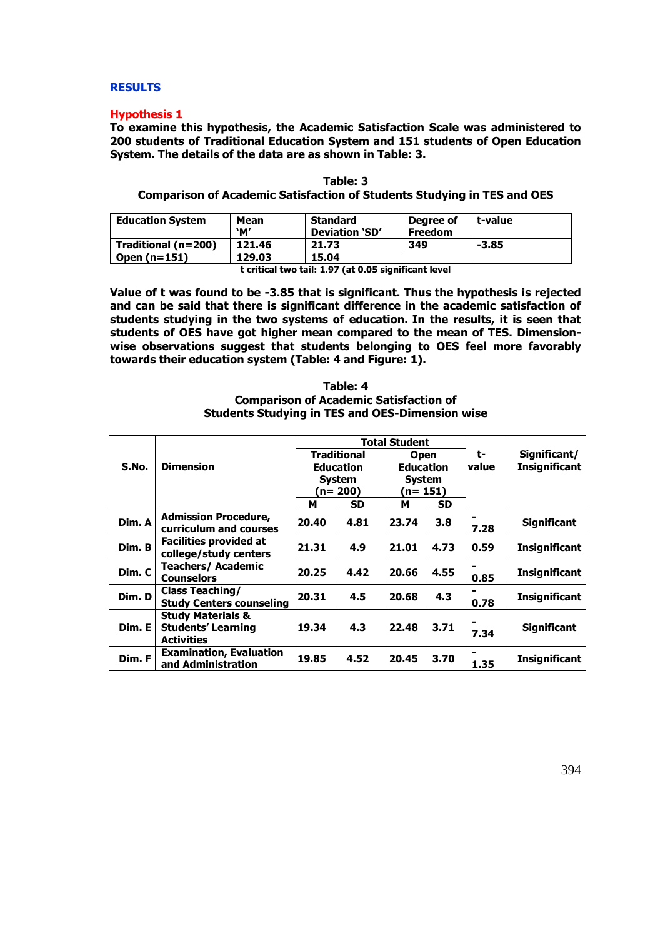### **RESULTS**

### **Hypothesis 1**

**To examine this hypothesis, the Academic Satisfaction Scale was administered to 200 students of Traditional Education System and 151 students of Open Education System. The details of the data are as shown in Table: 3.** 

| Table: 3                                                                       |  |
|--------------------------------------------------------------------------------|--|
| <b>Comparison of Academic Satisfaction of Students Studying in TES and OES</b> |  |

| <b>Education System</b> | Mean<br>`М' | <b>Standard</b><br>Deviation 'SD' | Degree of<br><b>Freedom</b> | t-value |
|-------------------------|-------------|-----------------------------------|-----------------------------|---------|
| Traditional (n=200)     | 121.46      | 21.73                             | 349                         | $-3.85$ |
| Open $(n=151)$          | 129.03      | 15.04                             |                             |         |

**t critical two tail: 1.97 (at 0.05 significant level** 

**Value of t was found to be -3.85 that is significant. Thus the hypothesis is rejected and can be said that there is significant difference in the academic satisfaction of students studying in the two systems of education. In the results, it is seen that students of OES have got higher mean compared to the mean of TES. Dimensionwise observations suggest that students belonging to OES feel more favorably towards their education system (Table: 4 and Figure: 1).**

| Table: 4                                               |
|--------------------------------------------------------|
| <b>Comparison of Academic Satisfaction of</b>          |
| <b>Students Studying in TES and OES-Dimension wise</b> |

|        |                                                                                |       |                                                         | <b>Total Student</b>                             |      |             |                                      |
|--------|--------------------------------------------------------------------------------|-------|---------------------------------------------------------|--------------------------------------------------|------|-------------|--------------------------------------|
| S.No.  | <b>Dimension</b>                                                               |       | <b>Traditional</b><br><b>Education</b><br><b>System</b> | <b>Open</b><br><b>Education</b><br><b>System</b> |      | t-<br>value | Significant/<br><b>Insignificant</b> |
|        |                                                                                |       | (n= 200)                                                | (n= 151)                                         |      |             |                                      |
|        |                                                                                | м     | SD.                                                     | м                                                | SD.  |             |                                      |
| Dim. A | <b>Admission Procedure,</b><br>curriculum and courses                          | 20.40 | 4.81                                                    | 23.74                                            | 3.8  | -<br>7.28   | <b>Significant</b>                   |
| Dim. B | <b>Facilities provided at</b><br>college/study centers                         | 21.31 | 4.9                                                     | 21.01                                            | 4.73 | 0.59        | <b>Insignificant</b>                 |
| Dim. C | <b>Teachers/ Academic</b><br>Counselors                                        | 20.25 | 4.42                                                    | 20.66                                            | 4.55 | 0.85        | <b>Insignificant</b>                 |
| Dim. D | <b>Class Teaching/</b><br><b>Study Centers counseling</b>                      | 20.31 | 4.5                                                     | 20.68                                            | 4.3  | 0.78        | <b>Insignificant</b>                 |
| Dim. E | <b>Study Materials &amp;</b><br><b>Students' Learning</b><br><b>Activities</b> | 19.34 | 4.3                                                     | 22.48                                            | 3.71 | 7.34        | <b>Significant</b>                   |
| Dim. F | <b>Examination, Evaluation</b><br>and Administration                           | 19.85 | 4.52                                                    | 20.45                                            | 3.70 | 1.35        | <b>Insignificant</b>                 |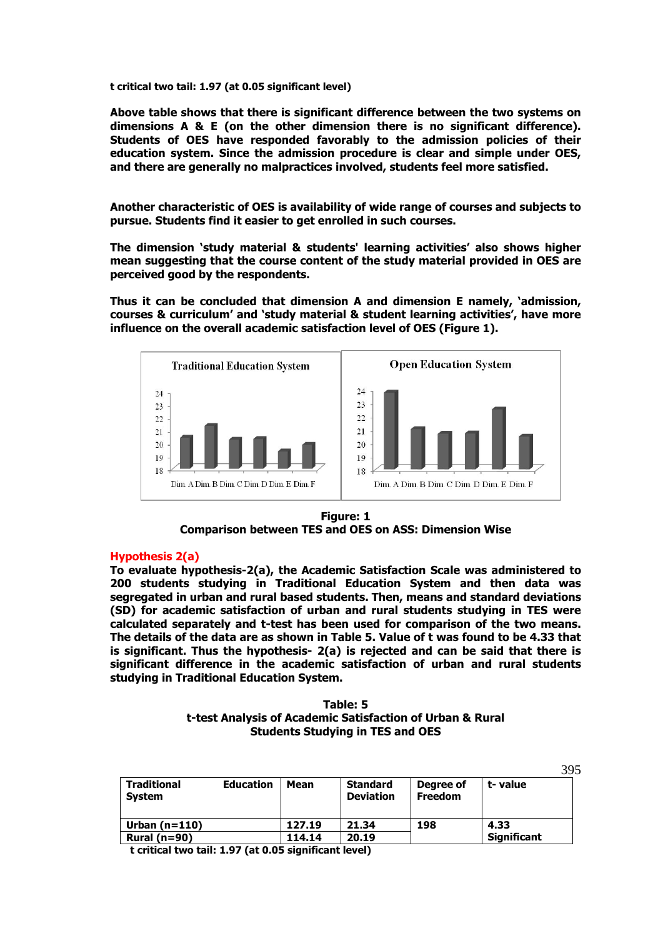**t critical two tail: 1.97 (at 0.05 significant level)** 

**Above table shows that there is significant difference between the two systems on dimensions A & E (on the other dimension there is no significant difference). Students of OES have responded favorably to the admission policies of their education system. Since the admission procedure is clear and simple under OES, and there are generally no malpractices involved, students feel more satisfied.** 

**Another characteristic of OES is availability of wide range of courses and subjects to pursue. Students find it easier to get enrolled in such courses.** 

**The dimension 'study material & students' learning activities' also shows higher mean suggesting that the course content of the study material provided in OES are perceived good by the respondents.** 

**Thus it can be concluded that dimension A and dimension E namely, 'admission, courses & curriculum' and 'study material & student learning activities', have more influence on the overall academic satisfaction level of OES (Figure 1).** 



**Figure: 1 Comparison between TES and OES on ASS: Dimension Wise**

### **Hypothesis 2(a)**

**To evaluate hypothesis-2(a), the Academic Satisfaction Scale was administered to 200 students studying in Traditional Education System and then data was segregated in urban and rural based students. Then, means and standard deviations (SD) for academic satisfaction of urban and rural students studying in TES were calculated separately and t-test has been used for comparison of the two means. The details of the data are as shown in Table 5. Value of t was found to be 4.33 that is significant. Thus the hypothesis- 2(a) is rejected and can be said that there is significant difference in the academic satisfaction of urban and rural students studying in Traditional Education System.** 

# **Table: 5 t-test Analysis of Academic Satisfaction of Urban & Rural Students Studying in TES and OES**

|                              |                  |        |                                     |                             | 395                |
|------------------------------|------------------|--------|-------------------------------------|-----------------------------|--------------------|
| <b>Traditional</b><br>System | <b>Education</b> | Mean   | <b>Standard</b><br><b>Deviation</b> | Degree of<br><b>Freedom</b> | t-value            |
| Urban $(n=110)$              |                  | 127.19 | 21.34                               | 198                         | 4.33               |
| Rural $(n=90)$               |                  | 114.14 | 20.19                               |                             | <b>Significant</b> |

**t critical two tail: 1.97 (at 0.05 significant level)**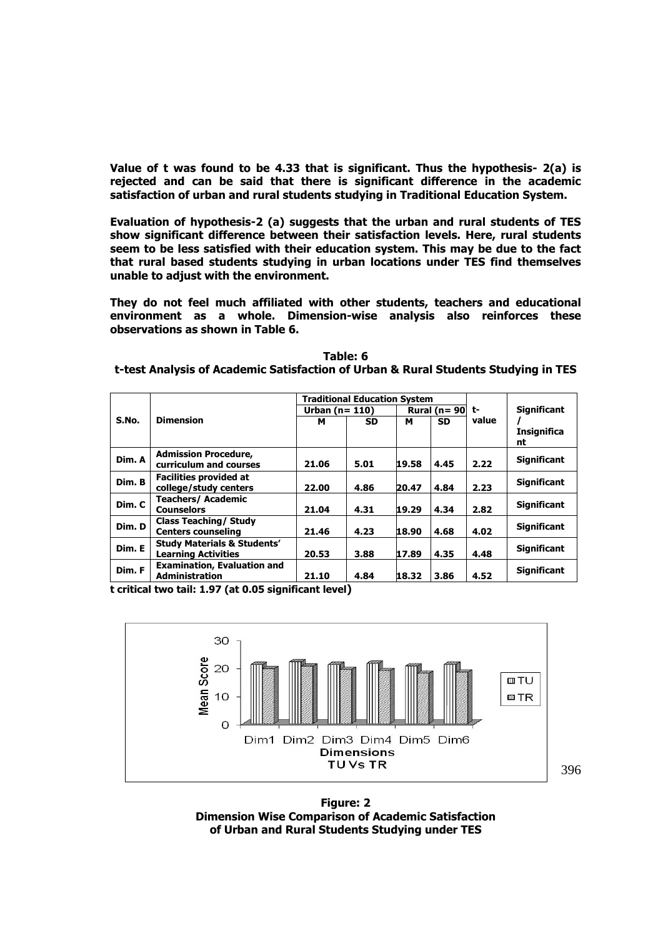**Value of t was found to be 4.33 that is significant. Thus the hypothesis- 2(a) is rejected and can be said that there is significant difference in the academic satisfaction of urban and rural students studying in Traditional Education System.** 

**Evaluation of hypothesis-2 (a) suggests that the urban and rural students of TES show significant difference between their satisfaction levels. Here, rural students seem to be less satisfied with their education system. This may be due to the fact that rural based students studying in urban locations under TES find themselves unable to adjust with the environment.** 

**They do not feel much affiliated with other students, teachers and educational environment as a whole. Dimension-wise analysis also reinforces these observations as shown in Table 6.** 

| Table: 6                                                                           |  |
|------------------------------------------------------------------------------------|--|
| t-test Analysis of Academic Satisfaction of Urban & Rural Students Studying in TES |  |

|        |                                        |                 | <b>Traditional Education System</b> |       |                       |       |                    |
|--------|----------------------------------------|-----------------|-------------------------------------|-------|-----------------------|-------|--------------------|
|        |                                        | Urban $(n=110)$ |                                     |       | Rural ( $n = 90$ ) t- |       | <b>Significant</b> |
| S.No.  | <b>Dimension</b>                       | м               | <b>SD</b>                           | м     | <b>SD</b>             | value |                    |
|        |                                        |                 |                                     |       |                       |       | <b>Insignifica</b> |
|        |                                        |                 |                                     |       |                       |       | nt                 |
| Dim. A | <b>Admission Procedure,</b>            |                 |                                     |       |                       |       | <b>Significant</b> |
|        | curriculum and courses                 | 21.06           | 5.01                                | 19.58 | 4.45                  | 2.22  |                    |
| Dim. B | <b>Facilities provided at</b>          |                 |                                     |       |                       |       |                    |
|        | college/study centers                  | 22.00           | 4.86                                | 20.47 | 4.84                  | 2.23  | <b>Significant</b> |
| Dim. C | <b>Teachers/Academic</b>               |                 |                                     |       |                       |       | <b>Significant</b> |
|        | <b>Counselors</b>                      | 21.04           | 4.31                                | 19.29 | 4.34                  | 2.82  |                    |
| Dim. D | <b>Class Teaching/ Study</b>           |                 |                                     |       |                       |       | <b>Significant</b> |
|        | <b>Centers counseling</b>              | 21.46           | 4.23                                | 18.90 | 4.68                  | 4.02  |                    |
| Dim. E | <b>Study Materials &amp; Students'</b> |                 |                                     |       |                       |       | <b>Significant</b> |
|        | <b>Learning Activities</b>             | 20.53           | 3.88                                | 17.89 | 4.35                  | 4.48  |                    |
| Dim. F | <b>Examination, Evaluation and</b>     |                 |                                     |       |                       |       | <b>Significant</b> |
|        | <b>Administration</b>                  | 21.10           | 4.84                                | 18.32 | 3.86                  | 4.52  |                    |

**t critical two tail: 1.97 (at 0.05 significant level)** 



**Figure: 2 Dimension Wise Comparison of Academic Satisfaction of Urban and Rural Students Studying under TES**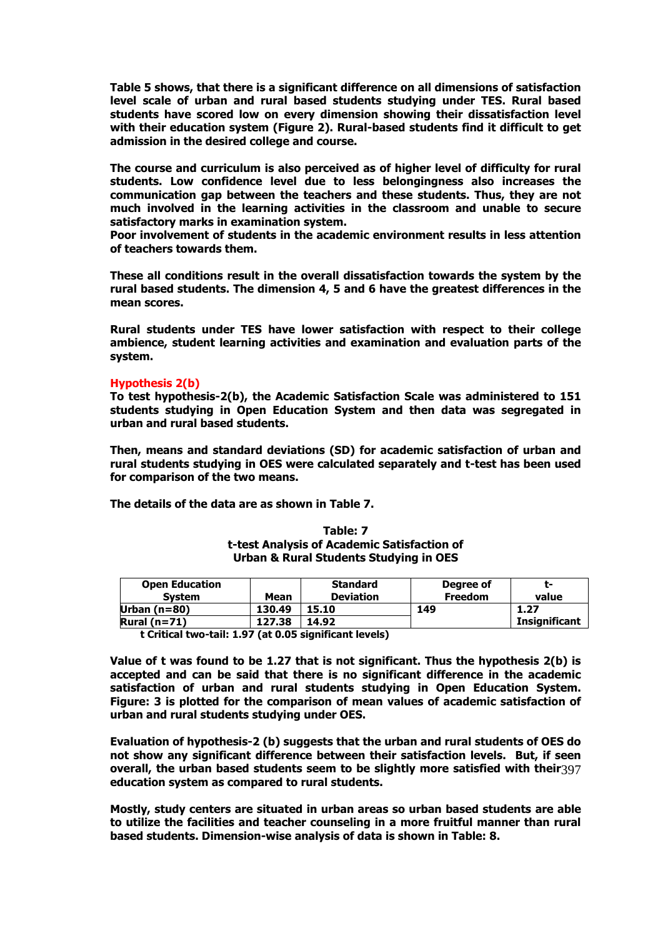**Table 5 shows, that there is a significant difference on all dimensions of satisfaction level scale of urban and rural based students studying under TES. Rural based students have scored low on every dimension showing their dissatisfaction level with their education system (Figure 2). Rural-based students find it difficult to get admission in the desired college and course.** 

**The course and curriculum is also perceived as of higher level of difficulty for rural students. Low confidence level due to less belongingness also increases the communication gap between the teachers and these students. Thus, they are not much involved in the learning activities in the classroom and unable to secure satisfactory marks in examination system.** 

**Poor involvement of students in the academic environment results in less attention of teachers towards them.** 

**These all conditions result in the overall dissatisfaction towards the system by the rural based students. The dimension 4, 5 and 6 have the greatest differences in the mean scores.** 

**Rural students under TES have lower satisfaction with respect to their college ambience, student learning activities and examination and evaluation parts of the system.** 

### **Hypothesis 2(b)**

**To test hypothesis-2(b), the Academic Satisfaction Scale was administered to 151 students studying in Open Education System and then data was segregated in urban and rural based students.** 

**Then, means and standard deviations (SD) for academic satisfaction of urban and rural students studying in OES were calculated separately and t-test has been used for comparison of the two means.** 

**The details of the data are as shown in Table 7.** 

| <b>Open Education</b><br><b>System</b> | Mean   | <b>Standard</b><br><b>Deviation</b> | Degree of<br><b>Freedom</b> | т.<br>value          |
|----------------------------------------|--------|-------------------------------------|-----------------------------|----------------------|
| Urban $(n=80)$                         | 130.49 | L5.10                               | 149                         | 1.27                 |
| Rural $(n=71)$                         | 127.38 | 14.92                               |                             | <b>Insignificant</b> |

### **Table: 7 t-test Analysis of Academic Satisfaction of Urban & Rural Students Studying in OES**

**t Critical two-tail: 1.97 (at 0.05 significant levels)** 

**Value of t was found to be 1.27 that is not significant. Thus the hypothesis 2(b) is accepted and can be said that there is no significant difference in the academic satisfaction of urban and rural students studying in Open Education System. Figure: 3 is plotted for the comparison of mean values of academic satisfaction of urban and rural students studying under OES.** 

overall, the urban based students seem to be slightly more satisfied with their397 **Evaluation of hypothesis-2 (b) suggests that the urban and rural students of OES do not show any significant difference between their satisfaction levels. But, if seen education system as compared to rural students.** 

**Mostly, study centers are situated in urban areas so urban based students are able to utilize the facilities and teacher counseling in a more fruitful manner than rural based students. Dimension-wise analysis of data is shown in Table: 8.**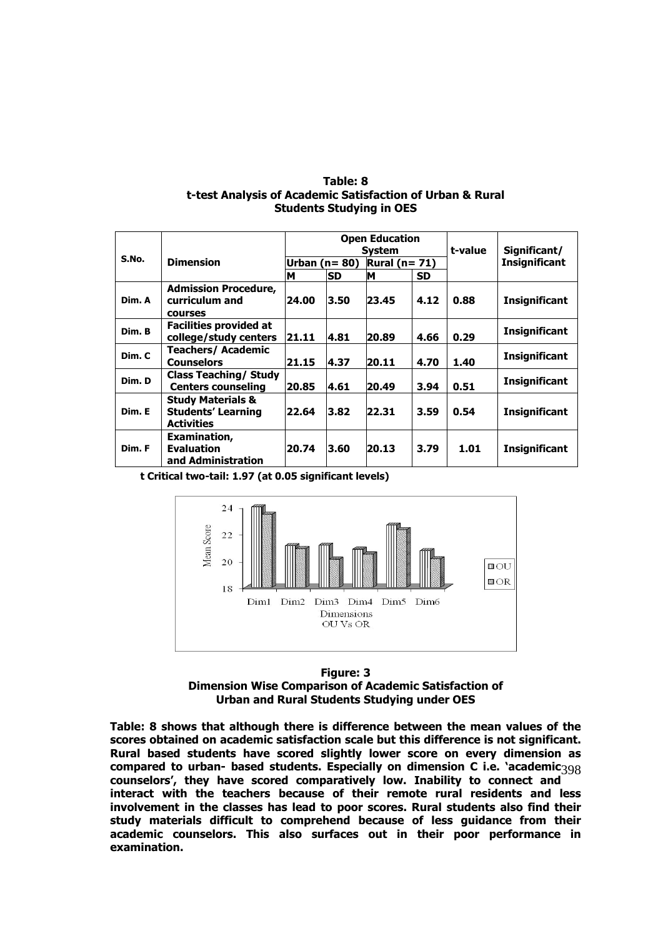| Table: 8                                                  |
|-----------------------------------------------------------|
| t-test Analysis of Academic Satisfaction of Urban & Rural |
| <b>Students Studying in OES</b>                           |

| S.No.  | <b>Dimension</b>                                                               |                |           | <b>Open Education</b><br>Svstem | t-value   | Significant/ |                      |
|--------|--------------------------------------------------------------------------------|----------------|-----------|---------------------------------|-----------|--------------|----------------------|
|        |                                                                                | Urban $(n=80)$ |           | Rural ( $n = 71$ )              |           |              | <b>Insignificant</b> |
|        |                                                                                | М              | <b>SD</b> | М                               | <b>SD</b> |              |                      |
| Dim. A | <b>Admission Procedure,</b><br>curriculum and<br><b>COULSES</b>                | 24.00          | 3.50      | 23.45                           | 4.12      | 0.88         | <b>Insignificant</b> |
| Dim. B | <b>Facilities provided at</b><br>college/study centers                         | 21.11          | 4.81      | 20.89                           | 4.66      | 0.29         | <b>Insignificant</b> |
| Dim. C | <b>Teachers/ Academic</b><br><b>Counselors</b>                                 | 21.15          | 4.37      | 20.11                           | 4.70      | 1.40         | <b>Insignificant</b> |
| Dim. D | <b>Class Teaching/ Study</b><br><b>Centers counseling</b>                      | 20.85          | 4.61      | 20.49                           | 3.94      | 0.51         | <b>Insignificant</b> |
| Dim. E | <b>Study Materials &amp;</b><br><b>Students' Learning</b><br><b>Activities</b> | 22.64          | 3.82      | 22.31                           | 3.59      | 0.54         | <b>Insignificant</b> |
| Dim. F | Examination,<br><b>Evaluation</b><br>and Administration                        | 20.74          | 3.60      | 20.13                           | 3.79      | 1.01         | <b>Insignificant</b> |

**t Critical two-tail: 1.97 (at 0.05 significant levels)** 



**Figure: 3 Dimension Wise Comparison of Academic Satisfaction of Urban and Rural Students Studying under OES** 

compared to urban- based students. Especially on dimension C i.e. 'academic 398 **Table: 8 shows that although there is difference between the mean values of the scores obtained on academic satisfaction scale but this difference is not significant. Rural based students have scored slightly lower score on every dimension as counselors', they have scored comparatively low. Inability to connect and interact with the teachers because of their remote rural residents and less involvement in the classes has lead to poor scores. Rural students also find their study materials difficult to comprehend because of less guidance from their academic counselors. This also surfaces out in their poor performance in examination.**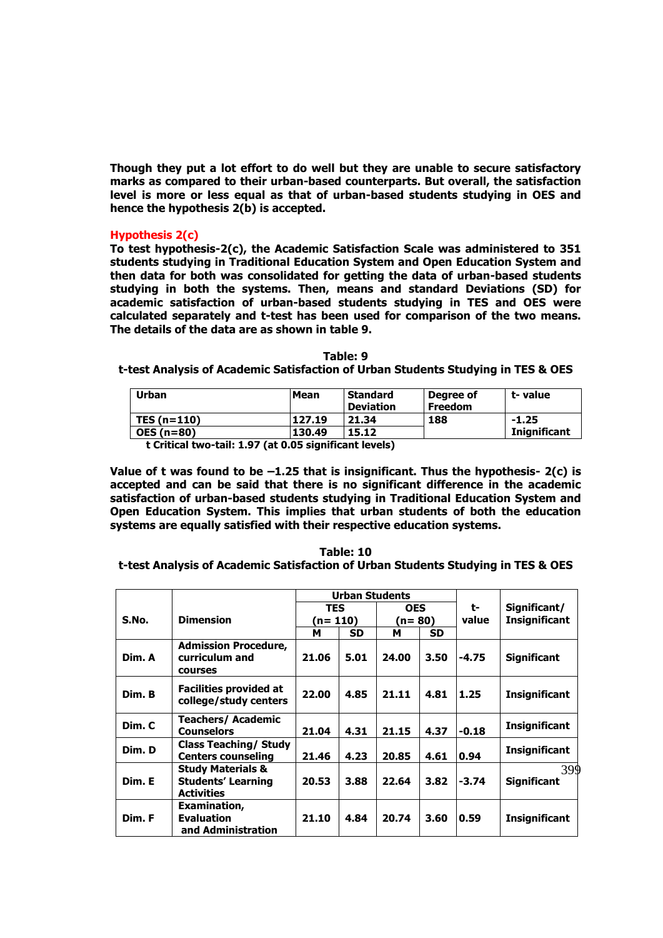**Though they put a lot effort to do well but they are unable to secure satisfactory marks as compared to their urban-based counterparts. But overall, the satisfaction level is more or less equal as that of urban-based students studying in OES and hence the hypothesis 2(b) is accepted.** 

# **Hypothesis 2(c)**

**To test hypothesis-2(c), the Academic Satisfaction Scale was administered to 351 students studying in Traditional Education System and Open Education System and then data for both was consolidated for getting the data of urban-based students studying in both the systems. Then, means and standard Deviations (SD) for academic satisfaction of urban-based students studying in TES and OES were calculated separately and t-test has been used for comparison of the two means. The details of the data are as shown in table 9.** 

#### **Table: 9**

**t-test Analysis of Academic Satisfaction of Urban Students Studying in TES & OES** 

| Urban             | <b>Mean</b> | <b>Standard</b><br><b>Deviation</b> | Degree of<br><b>Freedom</b> | t-value             |  |  |  |
|-------------------|-------------|-------------------------------------|-----------------------------|---------------------|--|--|--|
| TES $(n=110)$     | 127.19      | 21.34                               | 188                         | $-1.25$             |  |  |  |
| <b>OES (n=80)</b> | 130.49      | 15.12                               |                             | <b>Inignificant</b> |  |  |  |
|                   |             |                                     |                             |                     |  |  |  |

 **t Critical two-tail: 1.97 (at 0.05 significant levels)** 

**Value of t was found to be –1.25 that is insignificant. Thus the hypothesis- 2(c) is accepted and can be said that there is no significant difference in the academic satisfaction of urban-based students studying in Traditional Education System and Open Education System. This implies that urban students of both the education systems are equally satisfied with their respective education systems.** 

**Table: 10 t-test Analysis of Academic Satisfaction of Urban Students Studying in TES & OES** 

|        |                                                                                | <b>Urban Students</b> |           |            |           |         |                           |
|--------|--------------------------------------------------------------------------------|-----------------------|-----------|------------|-----------|---------|---------------------------|
|        |                                                                                | <b>TES</b>            |           | <b>OES</b> |           | t-      | Significant/              |
| S.No.  | <b>Dimension</b>                                                               | (n= 110)              |           | (n= 80)    |           | value   | <b>Insignificant</b>      |
|        |                                                                                | м                     | <b>SD</b> | м          | <b>SD</b> |         |                           |
| Dim. A | <b>Admission Procedure,</b><br>curriculum and<br>courses                       | 21.06                 | 5.01      | 24.00      | 3.50      | -4.75   | <b>Significant</b>        |
| Dim. B | <b>Facilities provided at</b><br>college/study centers                         | 22.00                 | 4.85      | 21.11      | 4.81      | 1.25    | <b>Insignificant</b>      |
| Dim. C | <b>Teachers/Academic</b><br><b>Counselors</b>                                  | 21.04                 | 4.31      | 21.15      | 4.37      | $-0.18$ | <b>Insignificant</b>      |
| Dim. D | <b>Class Teaching/ Study</b><br><b>Centers counseling</b>                      | 21.46                 | 4.23      | 20.85      | 4.61      | 0.94    | <b>Insignificant</b>      |
| Dim. E | <b>Study Materials &amp;</b><br><b>Students' Learning</b><br><b>Activities</b> | 20.53                 | 3.88      | 22.64      | 3.82      | $-3.74$ | 399<br><b>Significant</b> |
| Dim. F | Examination,<br><b>Evaluation</b><br>and Administration                        | 21.10                 | 4.84      | 20.74      | 3.60      | 0.59    | <b>Insignificant</b>      |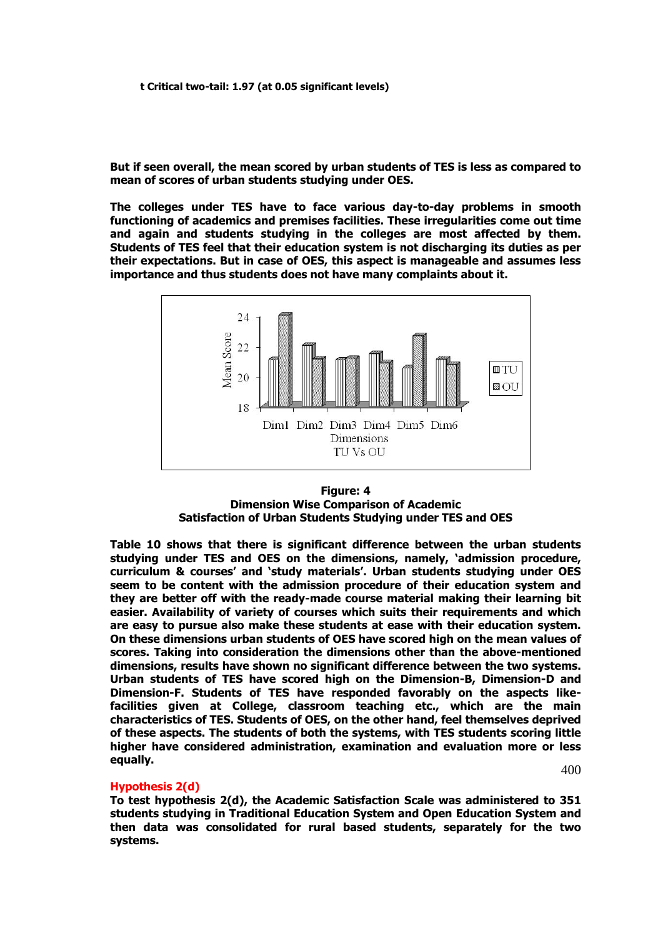**But if seen overall, the mean scored by urban students of TES is less as compared to mean of scores of urban students studying under OES.** 

**The colleges under TES have to face various day-to-day problems in smooth functioning of academics and premises facilities. These irregularities come out time and again and students studying in the colleges are most affected by them. Students of TES feel that their education system is not discharging its duties as per their expectations. But in case of OES, this aspect is manageable and assumes less importance and thus students does not have many complaints about it.** 



### **Figure: 4 Dimension Wise Comparison of Academic Satisfaction of Urban Students Studying under TES and OES**

**Table 10 shows that there is significant difference between the urban students studying under TES and OES on the dimensions, namely, 'admission procedure, curriculum & courses' and 'study materials'. Urban students studying under OES seem to be content with the admission procedure of their education system and they are better off with the ready-made course material making their learning bit easier. Availability of variety of courses which suits their requirements and which are easy to pursue also make these students at ease with their education system. On these dimensions urban students of OES have scored high on the mean values of scores. Taking into consideration the dimensions other than the above-mentioned dimensions, results have shown no significant difference between the two systems. Urban students of TES have scored high on the Dimension-B, Dimension-D and Dimension-F. Students of TES have responded favorably on the aspects likefacilities given at College, classroom teaching etc., which are the main characteristics of TES. Students of OES, on the other hand, feel themselves deprived of these aspects. The students of both the systems, with TES students scoring little higher have considered administration, examination and evaluation more or less equally.** 

400

### **Hypothesis 2(d)**

**To test hypothesis 2(d), the Academic Satisfaction Scale was administered to 351 students studying in Traditional Education System and Open Education System and then data was consolidated for rural based students, separately for the two systems.**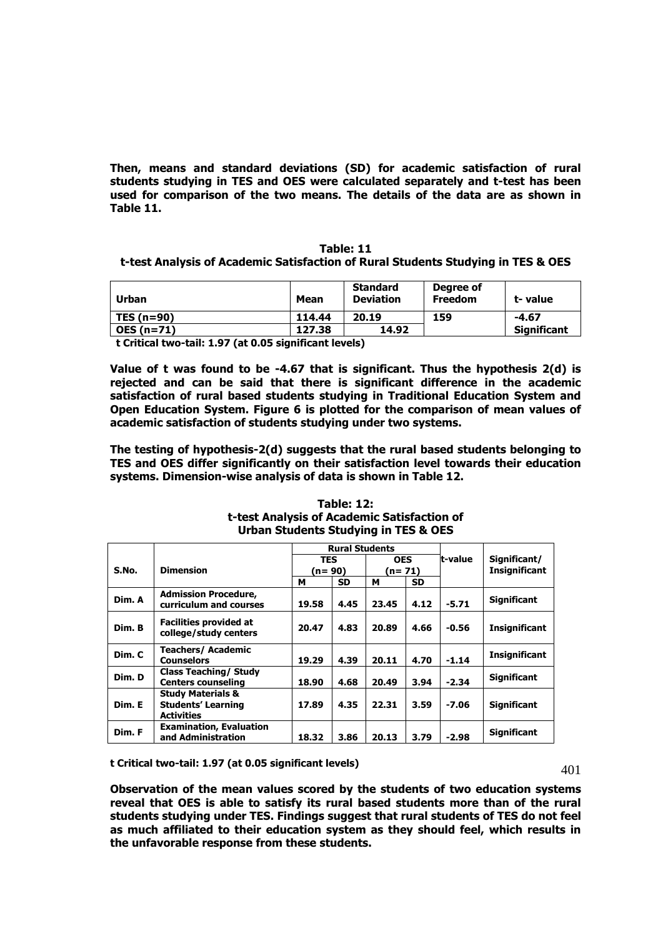**Then, means and standard deviations (SD) for academic satisfaction of rural students studying in TES and OES were calculated separately and t-test has been used for comparison of the two means. The details of the data are as shown in Table 11.** 

### **Table: 11**

# **t-test Analysis of Academic Satisfaction of Rural Students Studying in TES & OES**

| Urban        | <b>Mean</b>     | <b>Standard</b><br><b>Deviation</b> | Degree of<br><b>Freedom</b> | t- value           |
|--------------|-----------------|-------------------------------------|-----------------------------|--------------------|
| TES $(n=90)$ | 114.44<br>20.19 |                                     | 159                         | $-4.67$            |
| $OES(n=71)$  | 127.38          | 14.92                               |                             | <b>Significant</b> |

 **t Critical two-tail: 1.97 (at 0.05 significant levels)** 

**Value of t was found to be -4.67 that is significant. Thus the hypothesis 2(d) is rejected and can be said that there is significant difference in the academic satisfaction of rural based students studying in Traditional Education System and Open Education System. Figure 6 is plotted for the comparison of mean values of academic satisfaction of students studying under two systems.** 

**The testing of hypothesis-2(d) suggests that the rural based students belonging to TES and OES differ significantly on their satisfaction level towards their education systems. Dimension-wise analysis of data is shown in Table 12.** 

|        |                                                                                | <b>Rural Students</b> |           |            |           |         |                      |
|--------|--------------------------------------------------------------------------------|-----------------------|-----------|------------|-----------|---------|----------------------|
|        | <b>Dimension</b>                                                               | <b>TES</b>            |           | <b>OES</b> |           | t-value | Significant/         |
| S.No.  |                                                                                | n= 90)                |           | (n= 71)    |           |         | <b>Insignificant</b> |
|        |                                                                                | м                     | <b>SD</b> | м          | <b>SD</b> |         |                      |
| Dim. A | <b>Admission Procedure,</b><br>curriculum and courses                          | 19.58                 | 4.45      | 23.45      | 4.12      | $-5.71$ | <b>Significant</b>   |
| Dim. B | <b>Facilities provided at</b><br>college/study centers                         | 20.47                 | 4.83      | 20.89      | 4.66      | $-0.56$ | <b>Insignificant</b> |
| Dim. C | <b>Teachers/Academic</b><br><b>Counselors</b>                                  | 19.29                 | 4.39      | 20.11      | 4.70      | $-1.14$ | <b>Insignificant</b> |
| Dim. D | <b>Class Teaching/ Study</b><br><b>Centers counseling</b>                      | 18.90                 | 4.68      | 20.49      | 3.94      | $-2.34$ | <b>Significant</b>   |
| Dim. E | <b>Study Materials &amp;</b><br><b>Students' Learning</b><br><b>Activities</b> | 17.89                 | 4.35      | 22.31      | 3.59      | $-7.06$ | <b>Significant</b>   |
| Dim. F | <b>Examination, Evaluation</b><br>and Administration                           | 18.32                 | 3.86      | 20.13      | 3.79      | $-2.98$ | <b>Significant</b>   |

### **Table: 12: t-test Analysis of Academic Satisfaction of Urban Students Studying in TES & OES**

**t Critical two-tail: 1.97 (at 0.05 significant levels)** 

401

**Observation of the mean values scored by the students of two education systems reveal that OES is able to satisfy its rural based students more than of the rural students studying under TES. Findings suggest that rural students of TES do not feel as much affiliated to their education system as they should feel, which results in the unfavorable response from these students.**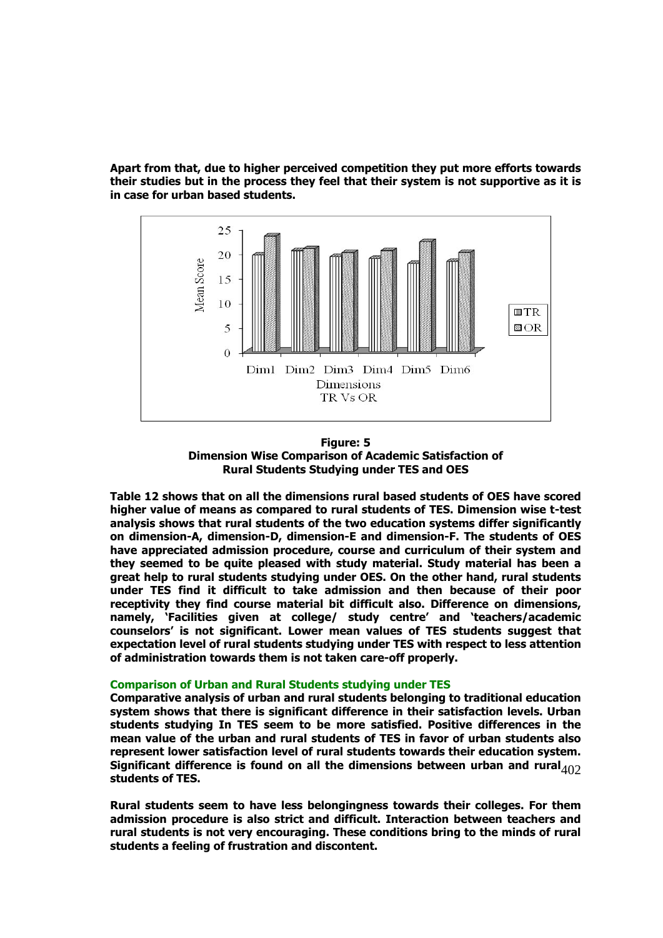**Apart from that, due to higher perceived competition they put more efforts towards their studies but in the process they feel that their system is not supportive as it is in case for urban based students.** 





**Table 12 shows that on all the dimensions rural based students of OES have scored higher value of means as compared to rural students of TES. Dimension wise t-test analysis shows that rural students of the two education systems differ significantly on dimension-A, dimension-D, dimension-E and dimension-F. The students of OES have appreciated admission procedure, course and curriculum of their system and they seemed to be quite pleased with study material. Study material has been a great help to rural students studying under OES. On the other hand, rural students under TES find it difficult to take admission and then because of their poor receptivity they find course material bit difficult also. Difference on dimensions, namely, 'Facilities given at college/ study centre' and 'teachers/academic counselors' is not significant. Lower mean values of TES students suggest that expectation level of rural students studying under TES with respect to less attention of administration towards them is not taken care-off properly.** 

#### **Comparison of Urban and Rural Students studying under TES**

Significant difference is found on all the dimensions between urban and rural<sub>402</sub> **Comparative analysis of urban and rural students belonging to traditional education system shows that there is significant difference in their satisfaction levels. Urban students studying In TES seem to be more satisfied. Positive differences in the mean value of the urban and rural students of TES in favor of urban students also represent lower satisfaction level of rural students towards their education system. students of TES.** 

**Rural students seem to have less belongingness towards their colleges. For them admission procedure is also strict and difficult. Interaction between teachers and rural students is not very encouraging. These conditions bring to the minds of rural students a feeling of frustration and discontent.**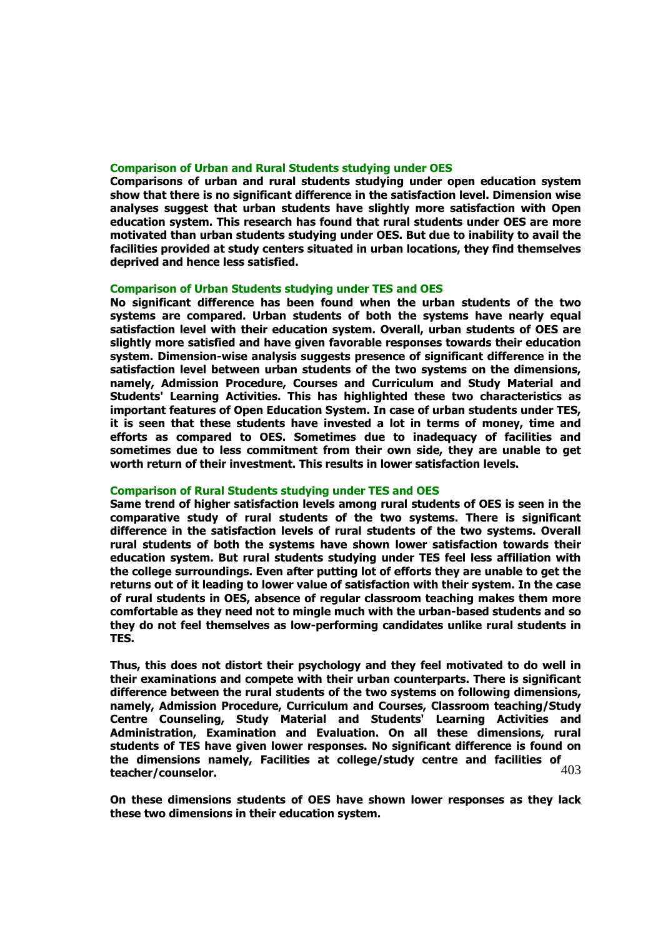### **Comparison of Urban and Rural Students studying under OES**

**Comparisons of urban and rural students studying under open education system show that there is no significant difference in the satisfaction level. Dimension wise analyses suggest that urban students have slightly more satisfaction with Open education system. This research has found that rural students under OES are more motivated than urban students studying under OES. But due to inability to avail the facilities provided at study centers situated in urban locations, they find themselves deprived and hence less satisfied.** 

# **Comparison of Urban Students studying under TES and OES**

**No significant difference has been found when the urban students of the two systems are compared. Urban students of both the systems have nearly equal satisfaction level with their education system. Overall, urban students of OES are slightly more satisfied and have given favorable responses towards their education system. Dimension-wise analysis suggests presence of significant difference in the satisfaction level between urban students of the two systems on the dimensions, namely, Admission Procedure, Courses and Curriculum and Study Material and Students' Learning Activities. This has highlighted these two characteristics as important features of Open Education System. In case of urban students under TES, it is seen that these students have invested a lot in terms of money, time and efforts as compared to OES. Sometimes due to inadequacy of facilities and sometimes due to less commitment from their own side, they are unable to get worth return of their investment. This results in lower satisfaction levels.** 

#### **Comparison of Rural Students studying under TES and OES**

**Same trend of higher satisfaction levels among rural students of OES is seen in the comparative study of rural students of the two systems. There is significant difference in the satisfaction levels of rural students of the two systems. Overall rural students of both the systems have shown lower satisfaction towards their education system. But rural students studying under TES feel less affiliation with the college surroundings. Even after putting lot of efforts they are unable to get the returns out of it leading to lower value of satisfaction with their system. In the case of rural students in OES, absence of regular classroom teaching makes them more comfortable as they need not to mingle much with the urban-based students and so they do not feel themselves as low-performing candidates unlike rural students in TES.** 

403 **Thus, this does not distort their psychology and they feel motivated to do well in their examinations and compete with their urban counterparts. There is significant difference between the rural students of the two systems on following dimensions, namely, Admission Procedure, Curriculum and Courses, Classroom teaching/Study Centre Counseling, Study Material and Students' Learning Activities and Administration, Examination and Evaluation. On all these dimensions, rural students of TES have given lower responses. No significant difference is found on the dimensions namely, Facilities at college/study centre and facilities of teacher/counselor.** 

**On these dimensions students of OES have shown lower responses as they lack these two dimensions in their education system.**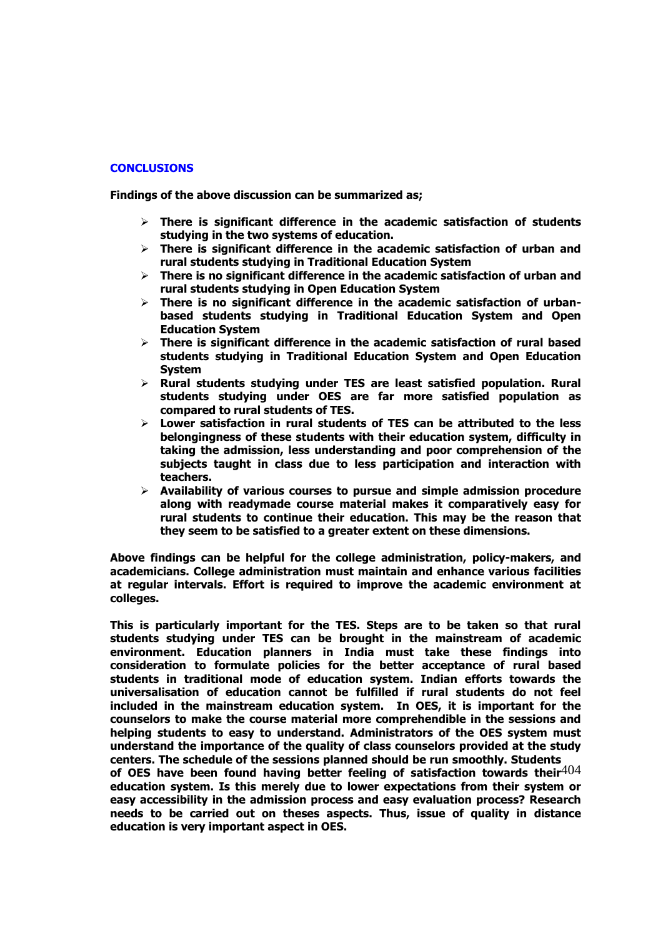# **CONCLUSIONS**

**Findings of the above discussion can be summarized as;** 

- **There is significant difference in the academic satisfaction of students studying in the two systems of education.**
- **There is significant difference in the academic satisfaction of urban and rural students studying in Traditional Education System**
- **There is no significant difference in the academic satisfaction of urban and rural students studying in Open Education System**
- **There is no significant difference in the academic satisfaction of urbanbased students studying in Traditional Education System and Open Education System**
- **There is significant difference in the academic satisfaction of rural based students studying in Traditional Education System and Open Education System**
- **Rural students studying under TES are least satisfied population. Rural students studying under OES are far more satisfied population as compared to rural students of TES.**
- **Lower satisfaction in rural students of TES can be attributed to the less belongingness of these students with their education system, difficulty in taking the admission, less understanding and poor comprehension of the subjects taught in class due to less participation and interaction with teachers.**
- **Availability of various courses to pursue and simple admission procedure along with readymade course material makes it comparatively easy for rural students to continue their education. This may be the reason that they seem to be satisfied to a greater extent on these dimensions.**

**Above findings can be helpful for the college administration, policy-makers, and academicians. College administration must maintain and enhance various facilities at regular intervals. Effort is required to improve the academic environment at colleges.** 

of OES have been found having better feeling of satisfaction towards their<sup>404</sup> **This is particularly important for the TES. Steps are to be taken so that rural students studying under TES can be brought in the mainstream of academic environment. Education planners in India must take these findings into consideration to formulate policies for the better acceptance of rural based students in traditional mode of education system. Indian efforts towards the universalisation of education cannot be fulfilled if rural students do not feel included in the mainstream education system. In OES, it is important for the counselors to make the course material more comprehendible in the sessions and helping students to easy to understand. Administrators of the OES system must understand the importance of the quality of class counselors provided at the study centers. The schedule of the sessions planned should be run smoothly. Students** 

**education system. Is this merely due to lower expectations from their system or easy accessibility in the admission process and easy evaluation process? Research needs to be carried out on theses aspects. Thus, issue of quality in distance education is very important aspect in OES.**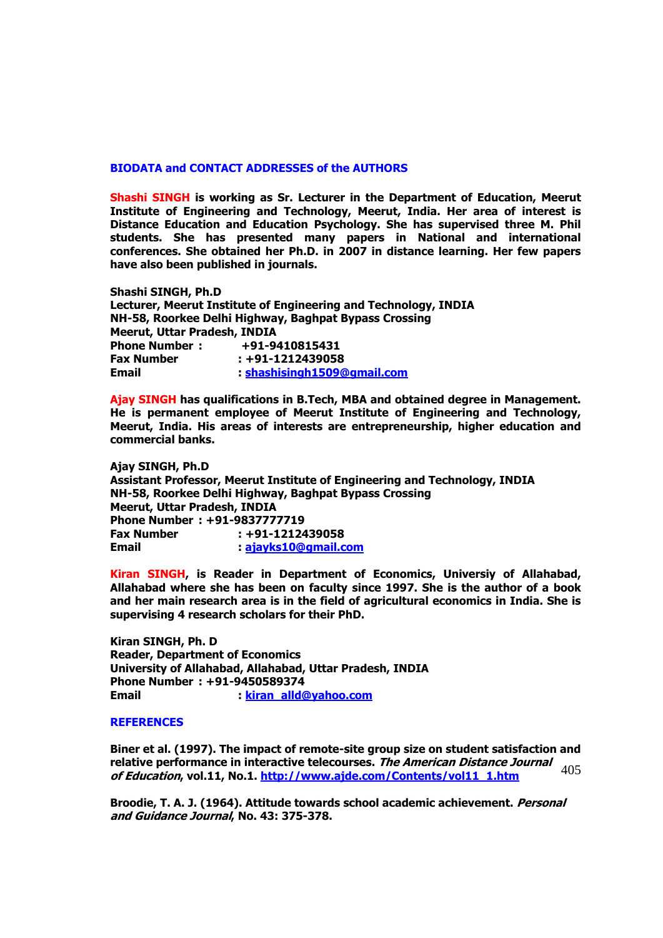### **BIODATA and CONTACT ADDRESSES of the AUTHORS**

**Shashi SINGH is working as Sr. Lecturer in the Department of Education, Meerut Institute of Engineering and Technology, Meerut, India. Her area of interest is Distance Education and Education Psychology. She has supervised three M. Phil students. She has presented many papers in National and international conferences. She obtained her Ph.D. in 2007 in distance learning. Her few papers have also been published in journals.** 

**Shashi SINGH, Ph.D Lecturer, Meerut Institute of Engineering and Technology, INDIA NH-58, Roorkee Delhi Highway, Baghpat Bypass Crossing Meerut, Uttar Pradesh, INDIA Phone Number : +91-9410815431 Fax Number : +91-1212439058 Email : [shashisingh1509@gmail.com](mailto:shashisingh1509@gmail.com)**

**Ajay SINGH has qualifications in B.Tech, MBA and obtained degree in Management. He is permanent employee of Meerut Institute of Engineering and Technology, Meerut, India. His areas of interests are entrepreneurship, higher education and commercial banks.** 

**Ajay SINGH, Ph.D Assistant Professor, Meerut Institute of Engineering and Technology, INDIA NH-58, Roorkee Delhi Highway, Baghpat Bypass Crossing Meerut, Uttar Pradesh, INDIA Phone Number : +91-9837777719 Fax Number : +91-1212439058 Email : [ajayks10@gmail.com](mailto:ajayks10@gmail.com)**

**Kiran SINGH, is Reader in Department of Economics, Universiy of Allahabad, Allahabad where she has been on faculty since 1997. She is the author of a book and her main research area is in the field of agricultural economics in India. She is supervising 4 research scholars for their PhD.** 

**Kiran SINGH, Ph. D Reader, Department of Economics University of Allahabad, Allahabad, Uttar Pradesh, INDIA Phone Number : +91-9450589374 Email : [kiran\\_alld@yahoo.com](mailto:kiran_alld@yahoo.com)**

#### **REFERENCES**

relative performance in interactive telecourses. *The American Distance Journal*  $405$ <br>of Education vol.11, No.1, http://www.aide.com/Contents/vol.11, 1.htm **Biner et al. (1997). The impact of remote-site group size on student satisfaction and of Education, vol.11, No.1. [http://www.ajde.com/Contents/vol11\\_1.htm](http://www.ajde.com/Contents/vol11_1.htm)**

**Broodie, T. A. J. (1964). Attitude towards school academic achievement. Personal and Guidance Journal, No. 43: 375-378.**